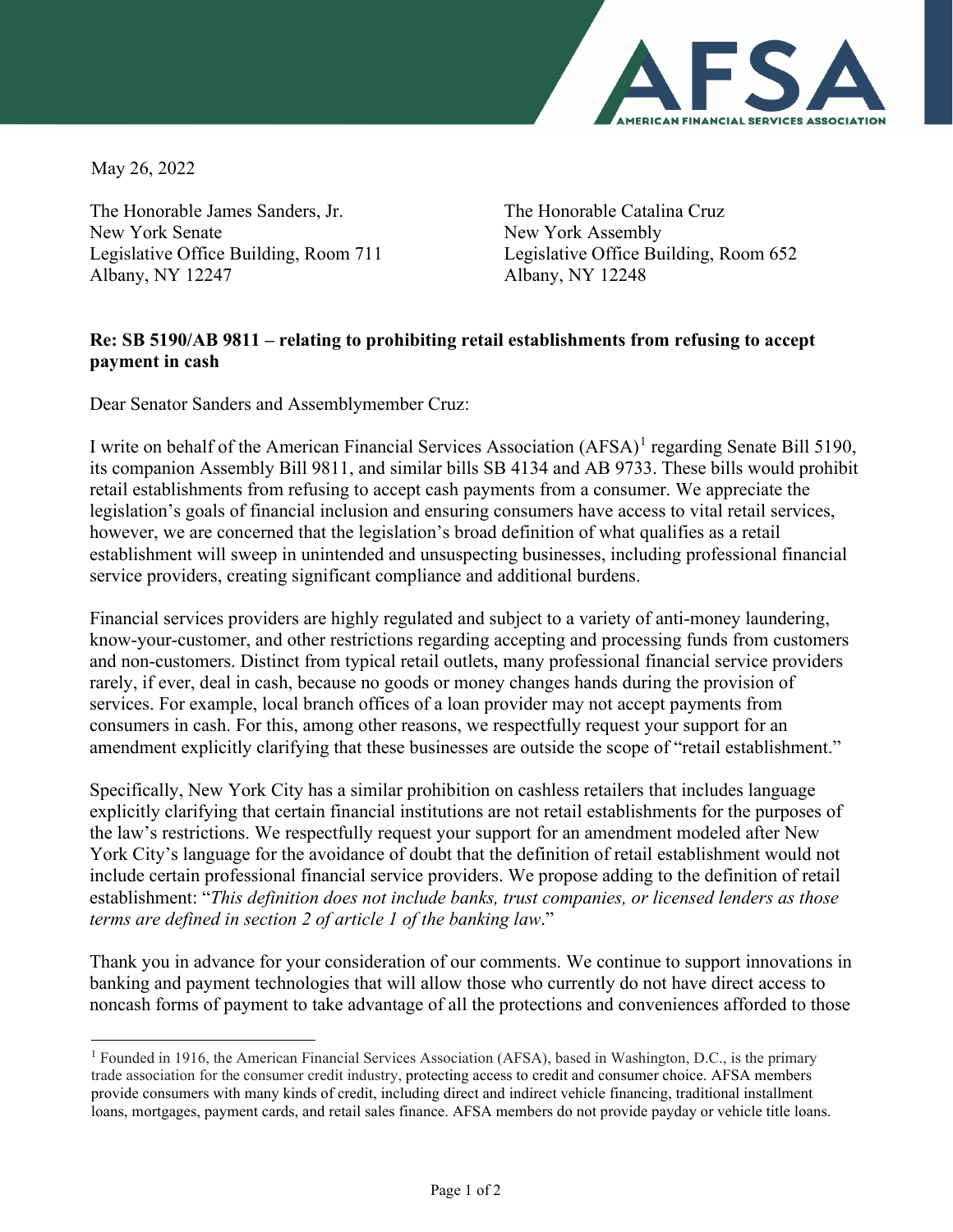

May 26, 2022

The Honorable James Sanders, Jr. New York Senate Legislative Office Building, Room 711 Albany, NY 12247

The Honorable Catalina Cruz New York Assembly Legislative Office Building, Room 652 Albany, NY 12248

## **Re: SB 5190/AB 9811 – relating to prohibiting retail establishments from refusing to accept payment in cash**

Dear Senator Sanders and Assemblymember Cruz:

I write on behalf of the American Financial Services Association (AFSA)<sup>[1](#page-0-0)</sup> regarding Senate Bill 5190, its companion Assembly Bill 9811, and similar bills SB 4134 and AB 9733. These bills would prohibit retail establishments from refusing to accept cash payments from a consumer. We appreciate the legislation's goals of financial inclusion and ensuring consumers have access to vital retail services, however, we are concerned that the legislation's broad definition of what qualifies as a retail establishment will sweep in unintended and unsuspecting businesses, including professional financial service providers, creating significant compliance and additional burdens.

Financial services providers are highly regulated and subject to a variety of anti-money laundering, know-your-customer, and other restrictions regarding accepting and processing funds from customers and non-customers. Distinct from typical retail outlets, many professional financial service providers rarely, if ever, deal in cash, because no goods or money changes hands during the provision of services. For example, local branch offices of a loan provider may not accept payments from consumers in cash. For this, among other reasons, we respectfully request your support for an amendment explicitly clarifying that these businesses are outside the scope of "retail establishment."

Specifically, New York City has a similar prohibition on cashless retailers that includes language explicitly clarifying that certain financial institutions are not retail establishments for the purposes of the law's restrictions. We respectfully request your support for an amendment modeled after New York City's language for the avoidance of doubt that the definition of retail establishment would not include certain professional financial service providers. We propose adding to the definition of retail establishment: "*This definition does not include banks, trust companies, or licensed lenders as those terms are defined in section 2 of article 1 of the banking law*."

Thank you in advance for your consideration of our comments. We continue to support innovations in banking and payment technologies that will allow those who currently do not have direct access to noncash forms of payment to take advantage of all the protections and conveniences afforded to those

<span id="page-0-0"></span><sup>1</sup> Founded in 1916, the American Financial Services Association (AFSA), based in Washington, D.C., is the primary trade association for the consumer credit industry, protecting access to credit and consumer choice. AFSA members provide consumers with many kinds of credit, including direct and indirect vehicle financing, traditional installment loans, mortgages, payment cards, and retail sales finance. AFSA members do not provide payday or vehicle title loans.